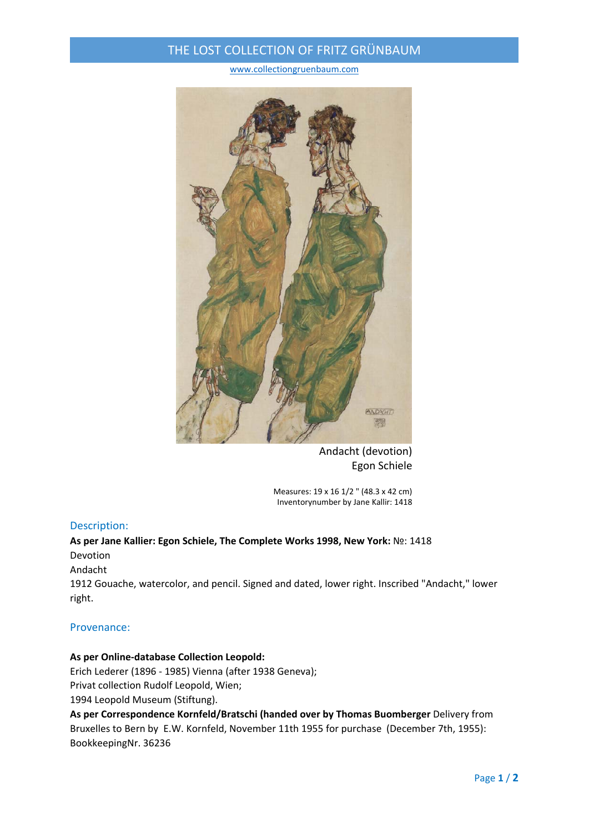## THE LOST COLLECTION OF FRITZ GRÜNBAUM

www.collectiongruenbaum.com



Andacht (devotion) Egon Schiele

Measures: 19 x 16 1/2 " (48.3 x 42 cm) Inventorynumber by Jane Kallir: 1418

#### Description:

## **As per Jane Kallier: Egon Schiele, The Complete Works 1998, New York:** №: 1418 Devotion

Andacht

1912 Gouache, watercolor, and pencil. Signed and dated, lower right. Inscribed "Andacht," lower right.

#### Provenance:

## **As per Online‐database Collection Leopold:**

Erich Lederer (1896 ‐ 1985) Vienna (after 1938 Geneva);

Privat collection Rudolf Leopold, Wien;

1994 Leopold Museum (Stiftung).

**As per Correspondence Kornfeld/Bratschi (handed over by Thomas Buomberger** Delivery from Bruxelles to Bern by E.W. Kornfeld, November 11th 1955 for purchase (December 7th, 1955): BookkeepingNr. 36236